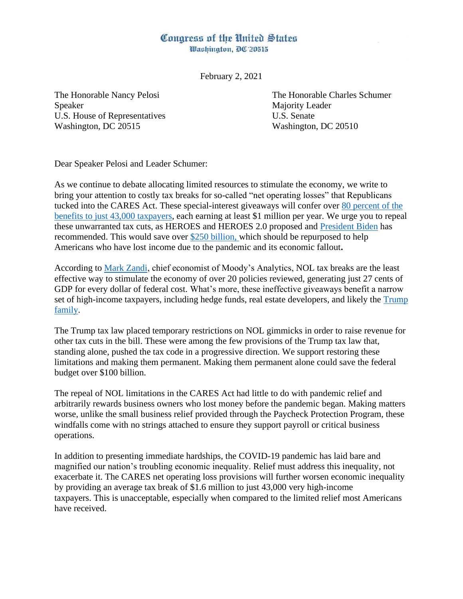## Congress of the United States Washington, DC 20515

February 2, 2021

Speaker Majority Leader U.S. House of Representatives U.S. Senate Washington, DC 20515 Washington, DC 20510

The Honorable Nancy Pelosi The Honorable Charles Schumer

Dear Speaker Pelosi and Leader Schumer:

As we continue to debate allocating limited resources to stimulate the economy, we write to bring your attention to costly tax breaks for so-called "net operating losses" that Republicans tucked into the CARES Act. These special-interest giveaways will confer over [80 percent of the](https://urldefense.proofpoint.com/v2/url?u=https-3A__www.whitehouse.senate.gov_imo_media_doc_116-2D0849.pdf&d=DwMFAg&c=L93KkjKsAC98uTvC4KvQDdTDRzAeWDDRmG6S3YXllH0&r=NIuOk3h8xMygXnL5WK_SdHWTcngxABYJQoCJMcch7mE&m=IRXpdQOeeRZJegDqGo_UloYyYyrcGbsz9c8uQMcTt38&s=tl0jS1VaNJC07PIOCReyZCSaUeDmfjNxnaqAo3hOTvA&e=)  [benefits to just 43,000 taxpayers,](https://urldefense.proofpoint.com/v2/url?u=https-3A__www.whitehouse.senate.gov_imo_media_doc_116-2D0849.pdf&d=DwMFAg&c=L93KkjKsAC98uTvC4KvQDdTDRzAeWDDRmG6S3YXllH0&r=NIuOk3h8xMygXnL5WK_SdHWTcngxABYJQoCJMcch7mE&m=IRXpdQOeeRZJegDqGo_UloYyYyrcGbsz9c8uQMcTt38&s=tl0jS1VaNJC07PIOCReyZCSaUeDmfjNxnaqAo3hOTvA&e=) each earning at least \$1 million per year. We urge you to repeal these unwarranted tax cuts, as HEROES and HEROES 2.0 proposed and [President Biden](https://urldefense.proofpoint.com/v2/url?u=https-3A__www.google.com_url-3Fq-3Dhttps-3A__medium.com_-40JoeBiden_joe-2Dbiden-2Doutlines-2Dnew-2Dsteps-2Dto-2Dease-2Deconomic-2Dburden-2Don-2Dworking-2Dpeople-2De3e121037322-26source-3Dgmail-2Dimap-26ust-3D1611513159000000-26usg-3DAOvVaw08rJNCJ7l3n3YjCRLoWqTI&d=DwMFAg&c=L93KkjKsAC98uTvC4KvQDdTDRzAeWDDRmG6S3YXllH0&r=NIuOk3h8xMygXnL5WK_SdHWTcngxABYJQoCJMcch7mE&m=IRXpdQOeeRZJegDqGo_UloYyYyrcGbsz9c8uQMcTt38&s=XjYe0pslQ51tsSlJUzUOap_A5rOG0W1qfW7WKnaDjeo&e=) has recommended. This would save over [\\$250 billion,](https://urldefense.proofpoint.com/v2/url?u=https-3A__www.jct.gov_publications_2020_jcx-2D21-2D20_&d=DwMFAg&c=L93KkjKsAC98uTvC4KvQDdTDRzAeWDDRmG6S3YXllH0&r=NIuOk3h8xMygXnL5WK_SdHWTcngxABYJQoCJMcch7mE&m=IRXpdQOeeRZJegDqGo_UloYyYyrcGbsz9c8uQMcTt38&s=B1JaVvYEPH9adGBCHEcfZci0lo3JTvcRqqeifWG3aiU&e=) which should be repurposed to help Americans who have lost income due to the pandemic and its economic fallout**.**

According to [Mark Zandi,](https://www.google.com/url?q=https://coc.senate.gov/sites/default/files/2020-09/MLF%2520Testimony%2520-%2520ZANDI.pdf&source=gmail-imap&ust=1611513159000000&usg=AOvVaw2zsBbxgfknce9LjejFnnvW) chief economist of Moody's Analytics, NOL tax breaks are the least effective way to stimulate the economy of over 20 policies reviewed, generating just 27 cents of GDP for every dollar of federal cost. What's more, these ineffective giveaways benefit a narrow set of high-income taxpayers, including hedge funds, real estate developers, and likely the [Trump](https://www.google.com/url?q=https://www.washingtonpost.com/opinions/2020/04/14/trump-kushner-could-reap-pandemic-windfall/&source=gmail-imap&ust=1611513159000000&usg=AOvVaw2EAIyk1QkFkVasUjDbw3Ck)  [family.](https://www.google.com/url?q=https://www.washingtonpost.com/opinions/2020/04/14/trump-kushner-could-reap-pandemic-windfall/&source=gmail-imap&ust=1611513159000000&usg=AOvVaw2EAIyk1QkFkVasUjDbw3Ck)

The Trump tax law placed temporary restrictions on NOL gimmicks in order to raise revenue for other tax cuts in the bill. These were among the few provisions of the Trump tax law that, standing alone, pushed the tax code in a progressive direction. We support restoring these limitations and making them permanent. Making them permanent alone could save the federal budget over \$100 billion.

The repeal of NOL limitations in the CARES Act had little to do with pandemic relief and arbitrarily rewards business owners who lost money before the pandemic began. Making matters worse, unlike the small business relief provided through the Paycheck Protection Program, these windfalls come with no strings attached to ensure they support payroll or critical business operations.

In addition to presenting immediate hardships, the COVID-19 pandemic has laid bare and magnified our nation's troubling economic inequality. Relief must address this inequality, not exacerbate it. The CARES net operating loss provisions will further worsen economic inequality by providing an average tax break of \$1.6 million to just 43,000 very high-income taxpayers. This is unacceptable, especially when compared to the limited relief most Americans have received.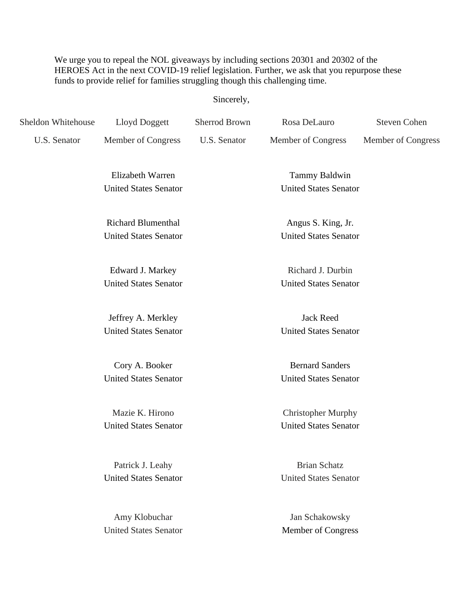We urge you to repeal the NOL giveaways by including sections 20301 and 20302 of the HEROES Act in the next COVID-19 relief legislation. Further, we ask that you repurpose these funds to provide relief for families struggling though this challenging time.

Sincerely,

| Sheldon Whitehouse | Lloyd Doggett                | Sherrod Brown | Rosa DeLauro                                  | Steven Cohen       |
|--------------------|------------------------------|---------------|-----------------------------------------------|--------------------|
| U.S. Senator       | Member of Congress           | U.S. Senator  | Member of Congress                            | Member of Congress |
|                    | Elizabeth Warren             |               |                                               |                    |
|                    | <b>United States Senator</b> |               | Tammy Baldwin<br><b>United States Senator</b> |                    |
|                    |                              |               |                                               |                    |
|                    | <b>Richard Blumenthal</b>    |               | Angus S. King, Jr.                            |                    |
|                    | <b>United States Senator</b> |               | <b>United States Senator</b>                  |                    |
|                    |                              |               |                                               |                    |
|                    | Edward J. Markey             |               | Richard J. Durbin                             |                    |
|                    | <b>United States Senator</b> |               | <b>United States Senator</b>                  |                    |
|                    | Jeffrey A. Merkley           |               | <b>Jack Reed</b>                              |                    |
|                    | <b>United States Senator</b> |               | <b>United States Senator</b>                  |                    |
|                    |                              |               |                                               |                    |
|                    | Cory A. Booker               |               | <b>Bernard Sanders</b>                        |                    |
|                    | <b>United States Senator</b> |               | <b>United States Senator</b>                  |                    |
|                    |                              |               |                                               |                    |
|                    | Mazie K. Hirono              |               | Christopher Murphy                            |                    |
|                    | <b>United States Senator</b> |               | <b>United States Senator</b>                  |                    |
|                    | Patrick J. Leahy             |               | <b>Brian Schatz</b>                           |                    |
|                    | <b>United States Senator</b> |               | <b>United States Senator</b>                  |                    |
|                    |                              |               |                                               |                    |
|                    | Amy Klobuchar                |               | Jan Schakowsky                                |                    |
|                    | <b>United States Senator</b> |               | Member of Congress                            |                    |
|                    |                              |               |                                               |                    |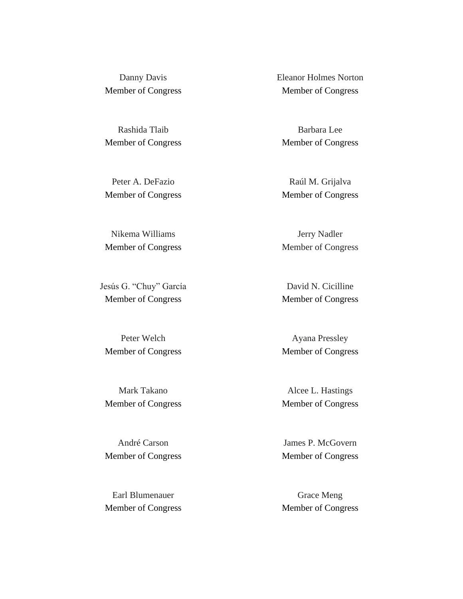Danny Davis Member of Congress

Rashida Tlaib Member of Congress

Peter A. DeFazio Member of Congress

Nikema Williams Member of Congress

Jesús G. "Chuy" García Member of Congress

Peter Welch Member of Congress

Mark Takano Member of Congress

André Carson Member of Congress

Earl Blumenauer Member of Congress Eleanor Holmes Norton Member of Congress

Barbara Lee Member of Congress

Raúl M. Grijalva Member of Congress

Jerry Nadler Member of Congress

David N. Cicilline Member of Congress

Ayana Pressley Member of Congress

Alcee L. Hastings Member of Congress

James P. McGovern Member of Congress

Grace Meng Member of Congress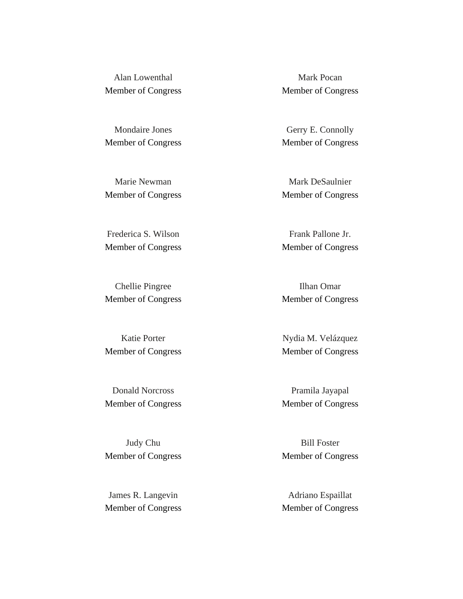Alan Lowenthal Member of Congress

Mondaire Jones Member of Congress

Marie Newman Member of Congress

Frederica S. Wilson Member of Congress

Chellie Pingree Member of Congress

Katie Porter Member of Congress

Donald Norcross Member of Congress

Judy Chu Member of Congress

James R. Langevin Member of Congress

Mark Pocan Member of Congress

Gerry E. Connolly Member of Congress

Mark DeSaulnier Member of Congress

Frank Pallone Jr. Member of Congress

Ilhan Omar Member of Congress

Nydia M. Velázquez Member of Congress

Pramila Jayapal Member of Congress

Bill Foster Member of Congress

Adriano Espaillat Member of Congress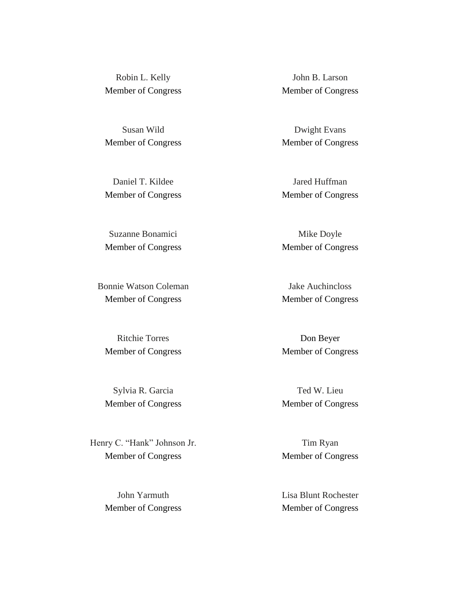Robin L. Kelly Member of Congress

Susan Wild Member of Congress

Daniel T. Kildee Member of Congress

Suzanne Bonamici Member of Congress

Bonnie Watson Coleman Member of Congress

Ritchie Torres Member of Congress

Sylvia R. Garcia Member of Congress

Henry C. "Hank" Johnson Jr. Member of Congress

> John Yarmuth Member of Congress

John B. Larson Member of Congress

Dwight Evans Member of Congress

Jared Huffman Member of Congress

Mike Doyle Member of Congress

Jake Auchincloss Member of Congress

Don Beyer Member of Congress

Ted W. Lieu Member of Congress

Tim Ryan Member of Congress

Lisa Blunt Rochester Member of Congress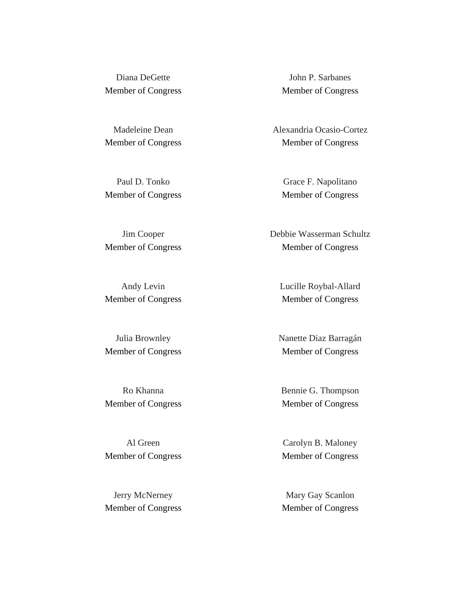Diana DeGette Member of Congress

Madeleine Dean Member of Congress

Paul D. Tonko Member of Congress

Jim Cooper Member of Congress

Andy Levin Member of Congress

Julia Brownley Member of Congress

Ro Khanna Member of Congress

Al Green Member of Congress

Jerry McNerney Member of Congress

John P. Sarbanes Member of Congress

Alexandria Ocasio-Cortez Member of Congress

Grace F. Napolitano Member of Congress

Debbie Wasserman Schultz Member of Congress

Lucille Roybal-Allard Member of Congress

Nanette Diaz Barragán Member of Congress

Bennie G. Thompson Member of Congress

Carolyn B. Maloney Member of Congress

Mary Gay Scanlon Member of Congress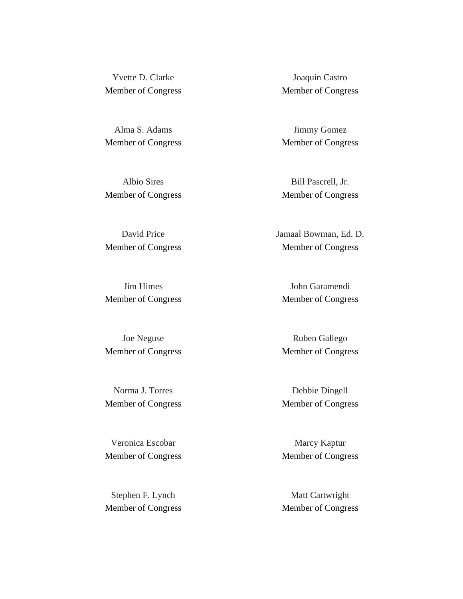Yvette D. Clarke Member of Congress

Alma S. Adams Member of Congress

Albio Sires Member of Congress

David Price Member of Congress

Jim Himes Member of Congress

Joe Neguse Member of Congress

Norma J. Torres Member of Congress

Veronica Escobar Member of Congress

Stephen F. Lynch Member of Congress

Joaquin Castro Member of Congress

Jimmy Gomez Member of Congress

Bill Pascrell, Jr. Member of Congress

Jamaal Bowman, Ed. D. Member of Congress

John Garamendi Member of Congress

Ruben Gallego Member of Congress

Debbie Dingell Member of Congress

Marcy Kaptur Member of Congress

Matt Cartwright Member of Congress